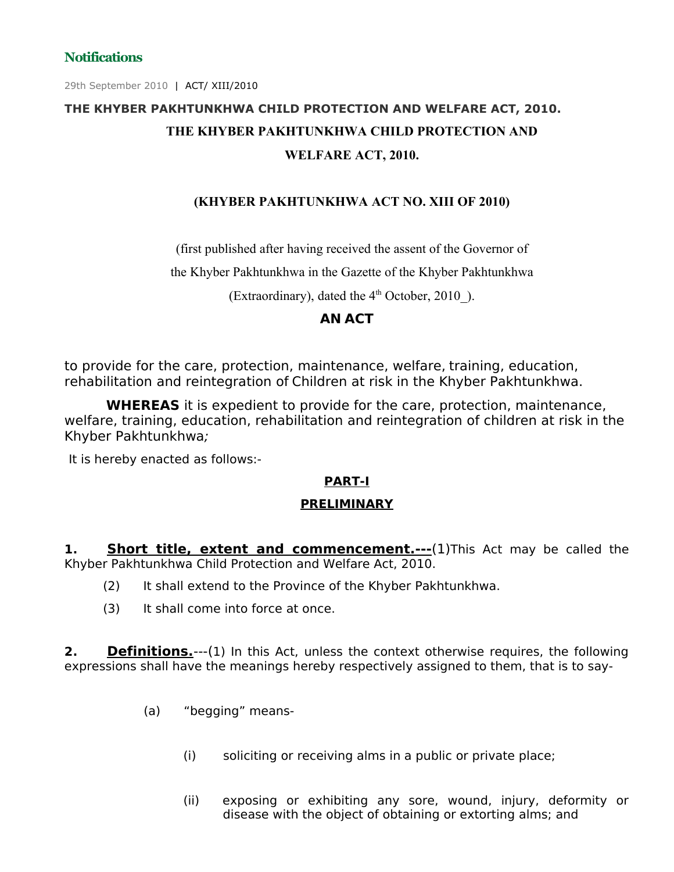29th September 2010 | ACT/ XIII/2010

# **THE KHYBER PAKHTUNKHWA CHILD PROTECTION AND WELFARE ACT, 2010. THE KHYBER PAKHTUNKHWA CHILD PROTECTION AND WELFARE ACT, 2010.**

#### **(KHYBER PAKHTUNKHWA ACT NO. XIII OF 2010)**

(first published after having received the assent of the Governor of

the Khyber Pakhtunkhwa in the Gazette of the Khyber Pakhtunkhwa

(Extraordinary), dated the  $4<sup>th</sup>$  October, 2010\_).

#### **AN ACT**

to provide for the care, protection, maintenance, welfare, training, education, rehabilitation and reintegration of Children at risk in the Khyber Pakhtunkhwa.

**WHEREAS** it is expedient to provide for the care, protection, maintenance, welfare, training, education, rehabilitation and reintegration of children at risk in the Khyber Pakhtunkhwa;

It is hereby enacted as follows:-

#### **PART-I**

#### **PRELIMINARY**

**1. Short title, extent and commencement.---**(1)This Act may be called the Khyber Pakhtunkhwa Child Protection and Welfare Act, 2010.

- (2) It shall extend to the Province of the Khyber Pakhtunkhwa.
- (3) It shall come into force at once.

**2. Definitions.**---(1) In this Act, unless the context otherwise requires, the following expressions shall have the meanings hereby respectively assigned to them, that is to say-

- (a) "begging" means-
	- (i) soliciting or receiving alms in a public or private place;
	- (ii) exposing or exhibiting any sore, wound, injury, deformity or disease with the object of obtaining or extorting alms; and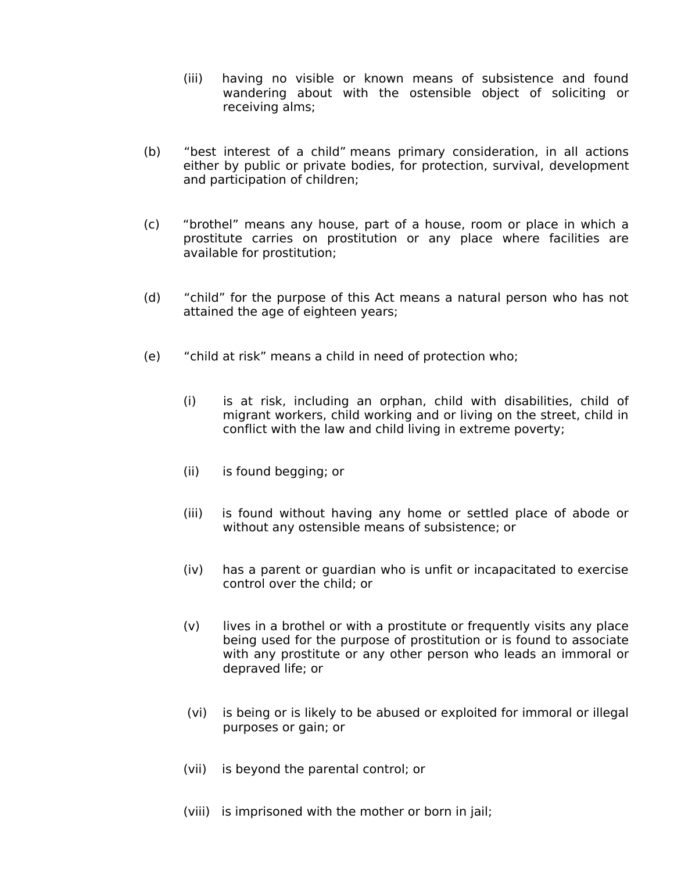- (iii) having no visible or known means of subsistence and found wandering about with the ostensible object of soliciting or receiving alms;
- (b) "best interest of a child" means primary consideration, in all actions either by public or private bodies, for protection, survival, development and participation of children;
- (c) "brothel" means any house, part of a house, room or place in which a prostitute carries on prostitution or any place where facilities are available for prostitution;
- (d) "child" for the purpose of this Act means a natural person who has not attained the age of eighteen years;
- (e) "child at risk" means a child in need of protection who;
	- (i) is at risk, including an orphan, child with disabilities, child of migrant workers, child working and or living on the street, child in conflict with the law and child living in extreme poverty;
	- (ii) is found begging; or
	- (iii) is found without having any home or settled place of abode or without any ostensible means of subsistence; or
	- (iv) has a parent or guardian who is unfit or incapacitated to exercise control over the child; or
	- (v) lives in a brothel or with a prostitute or frequently visits any place being used for the purpose of prostitution or is found to associate with any prostitute or any other person who leads an immoral or depraved life; or
	- (vi) is being or is likely to be abused or exploited for immoral or illegal purposes or gain; or
	- (vii) is beyond the parental control; or
	- (viii) is imprisoned with the mother or born in jail;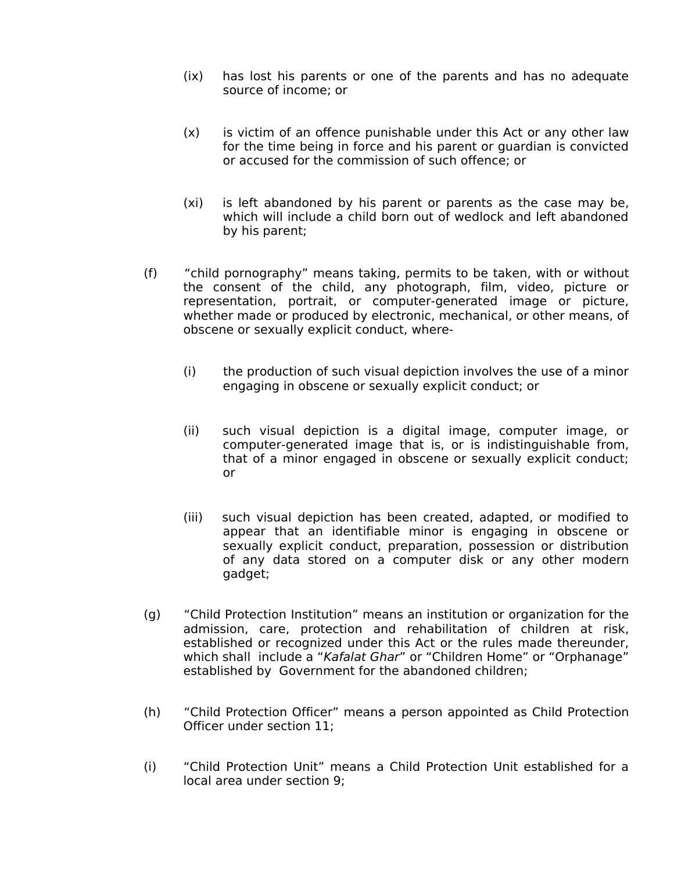- (ix) has lost his parents or one of the parents and has no adequate source of income; or
- (x) is victim of an offence punishable under this Act or any other law for the time being in force and his parent or guardian is convicted or accused for the commission of such offence; or
- (xi) is left abandoned by his parent or parents as the case may be, which will include a child born out of wedlock and left abandoned by his parent;
- (f) "child pornography" means taking, permits to be taken, with or without the consent of the child, any photograph, film, video, picture or representation, portrait, or computer-generated image or picture, whether made or produced by electronic, mechanical, or other means, of obscene or sexually explicit conduct, where-
	- (i) the production of such visual depiction involves the use of a minor engaging in obscene or sexually explicit conduct; or
	- (ii) such visual depiction is a digital image, computer image, or computer-generated image that is, or is indistinguishable from, that of a minor engaged in obscene or sexually explicit conduct; or
	- (iii) such visual depiction has been created, adapted, or modified to appear that an identifiable minor is engaging in obscene or sexually explicit conduct, preparation, possession or distribution of any data stored on a computer disk or any other modern gadget;
- (g) "Child Protection Institution" means an institution or organization for the admission, care, protection and rehabilitation of children at risk, established or recognized under this Act or the rules made thereunder, which shall include a "Kafalat Ghar" or "Children Home" or "Orphanage" established by Government for the abandoned children;
- (h) "Child Protection Officer" means a person appointed as Child Protection Officer under section 11;
- (i) "Child Protection Unit" means a Child Protection Unit established for a local area under section 9;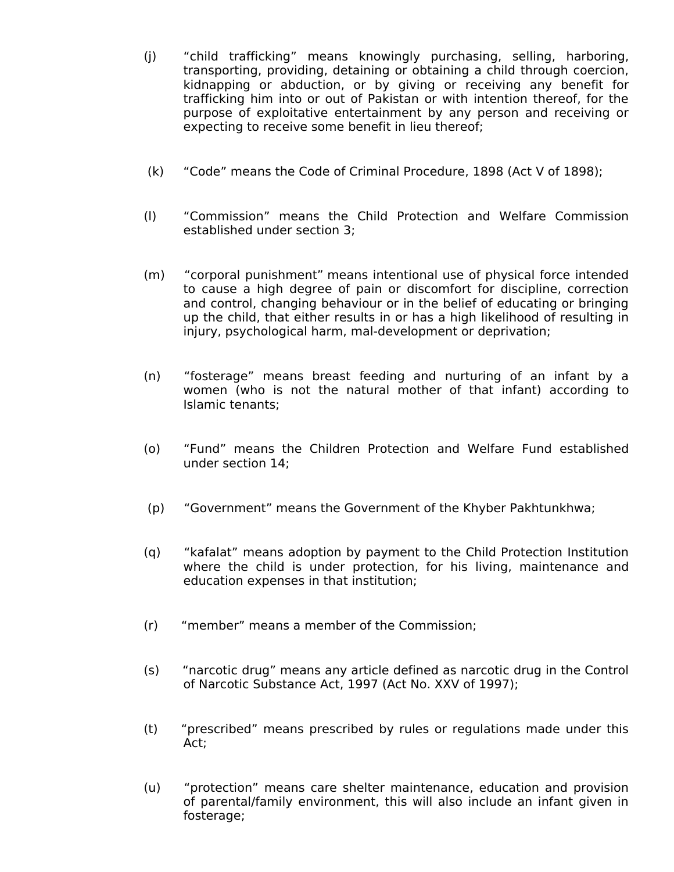- (j) "child trafficking" means knowingly purchasing, selling, harboring, transporting, providing, detaining or obtaining a child through coercion, kidnapping or abduction, or by giving or receiving any benefit for trafficking him into or out of Pakistan or with intention thereof, for the purpose of exploitative entertainment by any person and receiving or expecting to receive some benefit in lieu thereof;
- (k) "Code" means the Code of Criminal Procedure, 1898 (Act V of 1898);
- (l) "Commission" means the Child Protection and Welfare Commission established under section 3;
- (m) "corporal punishment" means intentional use of physical force intended to cause a high degree of pain or discomfort for discipline, correction and control, changing behaviour or in the belief of educating or bringing up the child, that either results in or has a high likelihood of resulting in injury, psychological harm, mal-development or deprivation;
- (n) "fosterage" means breast feeding and nurturing of an infant by a women (who is not the natural mother of that infant) according to Islamic tenants;
- (o) "Fund" means the Children Protection and Welfare Fund established under section 14;
- (p) "Government" means the Government of the Khyber Pakhtunkhwa;
- (q) "kafalat" means adoption by payment to the Child Protection Institution where the child is under protection, for his living, maintenance and education expenses in that institution;
- (r) "member" means a member of the Commission;
- (s) "narcotic drug" means any article defined as narcotic drug in the Control of Narcotic Substance Act, 1997 (Act No. XXV of 1997);
- (t) "prescribed" means prescribed by rules or regulations made under this Act;
- (u) "protection" means care shelter maintenance, education and provision of parental/family environment, this will also include an infant given in fosterage;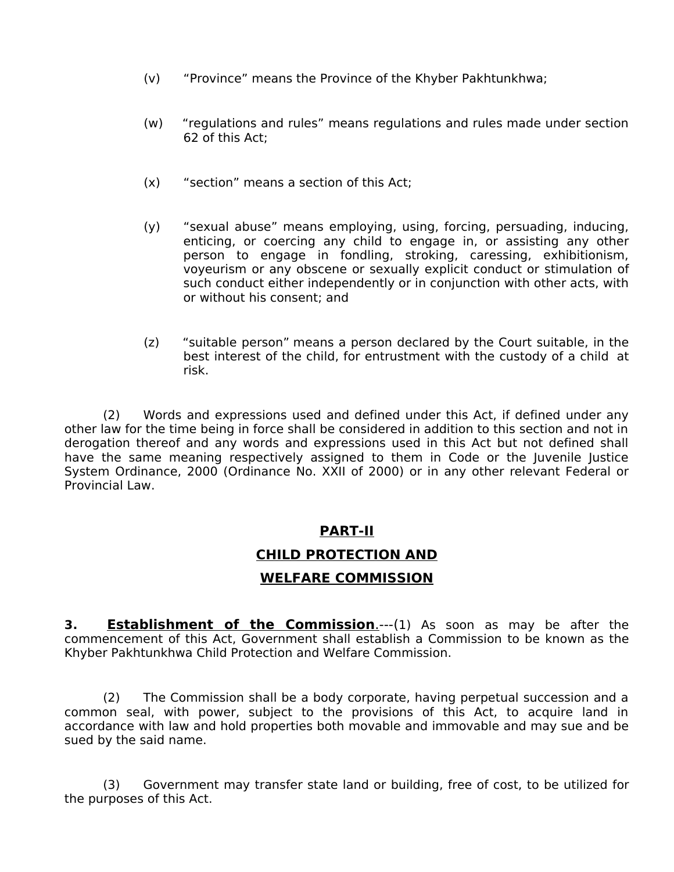- (v) "Province" means the Province of the Khyber Pakhtunkhwa;
- (w) "regulations and rules" means regulations and rules made under section 62 of this Act;
- (x) "section" means a section of this Act;
- (y) "sexual abuse" means employing, using, forcing, persuading, inducing, enticing, or coercing any child to engage in, or assisting any other person to engage in fondling, stroking, caressing, exhibitionism, voyeurism or any obscene or sexually explicit conduct or stimulation of such conduct either independently or in conjunction with other acts, with or without his consent; and
- (z) "suitable person" means a person declared by the Court suitable, in the best interest of the child, for entrustment with the custody of a child at risk.

(2) Words and expressions used and defined under this Act, if defined under any other law for the time being in force shall be considered in addition to this section and not in derogation thereof and any words and expressions used in this Act but not defined shall have the same meaning respectively assigned to them in Code or the Juvenile Justice System Ordinance, 2000 (Ordinance No. XXII of 2000) or in any other relevant Federal or Provincial Law.

#### **PART-II**

#### **CHILD PROTECTION AND**

#### **WELFARE COMMISSION**

**3. Establishment of the Commission.**---(1) As soon as may be after the commencement of this Act, Government shall establish a Commission to be known as the Khyber Pakhtunkhwa Child Protection and Welfare Commission.

(2) The Commission shall be a body corporate, having perpetual succession and a common seal, with power, subject to the provisions of this Act, to acquire land in accordance with law and hold properties both movable and immovable and may sue and be sued by the said name.

(3) Government may transfer state land or building, free of cost, to be utilized for the purposes of this Act.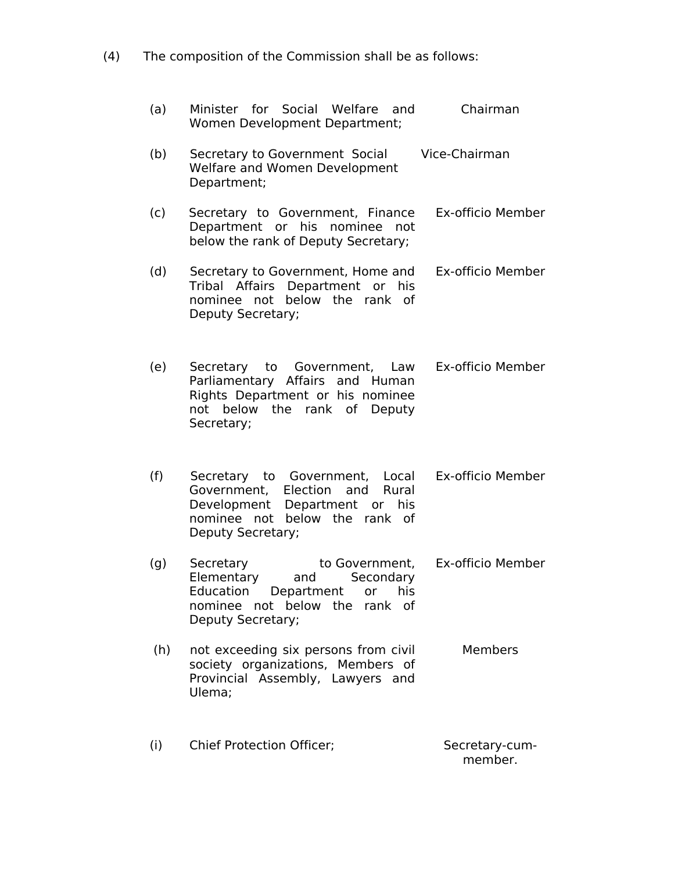(4) The composition of the Commission shall be as follows:

| (a) | Minister for Social Welfare and<br>Women Development Department;                                                                                              | Chairman          |
|-----|---------------------------------------------------------------------------------------------------------------------------------------------------------------|-------------------|
| (b) | Secretary to Government Social<br>Welfare and Women Development<br>Department;                                                                                | Vice-Chairman     |
| (c) | Secretary to Government, Finance<br>Department or his nominee<br>not<br>below the rank of Deputy Secretary;                                                   | Ex-officio Member |
| (d) | Secretary to Government, Home and<br>Department or his<br>Affairs<br>Tribal<br>nominee not below the rank of<br>Deputy Secretary;                             | Ex-officio Member |
| (e) | Secretary to Government, Law<br>Parliamentary Affairs and Human<br>Rights Department or his nominee<br>not below the rank of Deputy<br>Secretary;             | Ex-officio Member |
| (f) | Secretary to Government, Local<br>Government, Election<br>and<br>Rural<br>Development Department or his<br>nominee not below the rank of<br>Deputy Secretary; | Ex-officio Member |
| (g) | Secretary<br>to Government,<br>Elementary<br>and<br>Secondary<br>Education Department or his<br>nominee not below the rank of<br>Deputy Secretary;            | Ex-officio Member |
| (h) | not exceeding six persons from civil<br>society organizations, Members of<br>Provincial Assembly, Lawyers and<br>Ulema;                                       | Members           |
| (i) | <b>Chief Protection Officer;</b>                                                                                                                              | Secretary-cum-    |

member.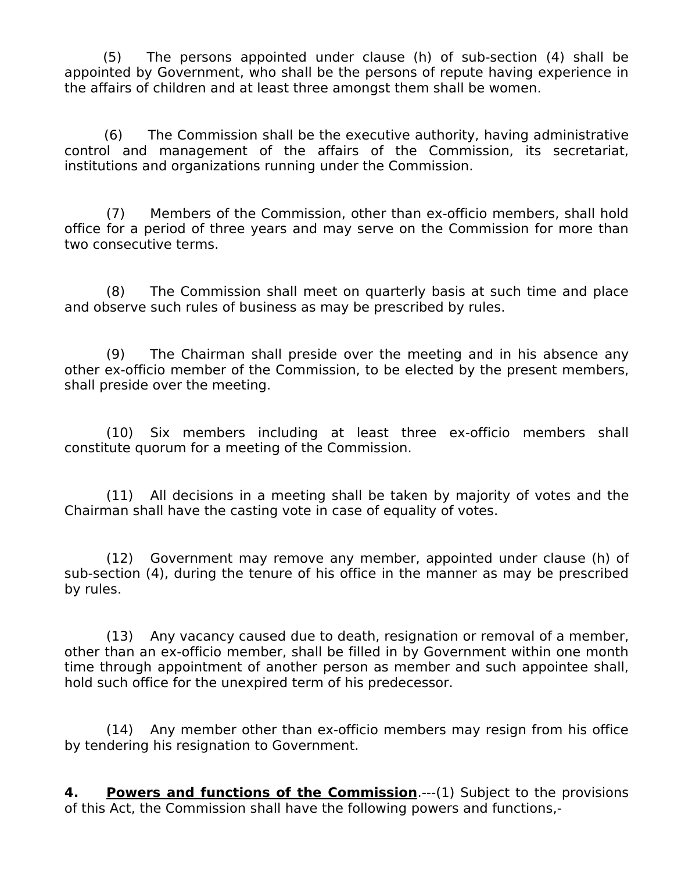(5) The persons appointed under clause (h) of sub-section (4) shall be appointed by Government, who shall be the persons of repute having experience in the affairs of children and at least three amongst them shall be women.

(6) The Commission shall be the executive authority, having administrative control and management of the affairs of the Commission, its secretariat, institutions and organizations running under the Commission.

(7) Members of the Commission, other than ex-officio members, shall hold office for a period of three years and may serve on the Commission for more than two consecutive terms.

(8) The Commission shall meet on quarterly basis at such time and place and observe such rules of business as may be prescribed by rules.

(9) The Chairman shall preside over the meeting and in his absence any other ex-officio member of the Commission, to be elected by the present members, shall preside over the meeting.

(10) Six members including at least three ex-officio members shall constitute quorum for a meeting of the Commission.

(11) All decisions in a meeting shall be taken by majority of votes and the Chairman shall have the casting vote in case of equality of votes.

(12) Government may remove any member, appointed under clause (h) of sub-section (4), during the tenure of his office in the manner as may be prescribed by rules.

(13) Any vacancy caused due to death, resignation or removal of a member, other than an ex-officio member, shall be filled in by Government within one month time through appointment of another person as member and such appointee shall, hold such office for the unexpired term of his predecessor.

(14) Any member other than ex-officio members may resign from his office by tendering his resignation to Government.

**4. Powers and functions of the Commission**.---(1) Subject to the provisions of this Act, the Commission shall have the following powers and functions,-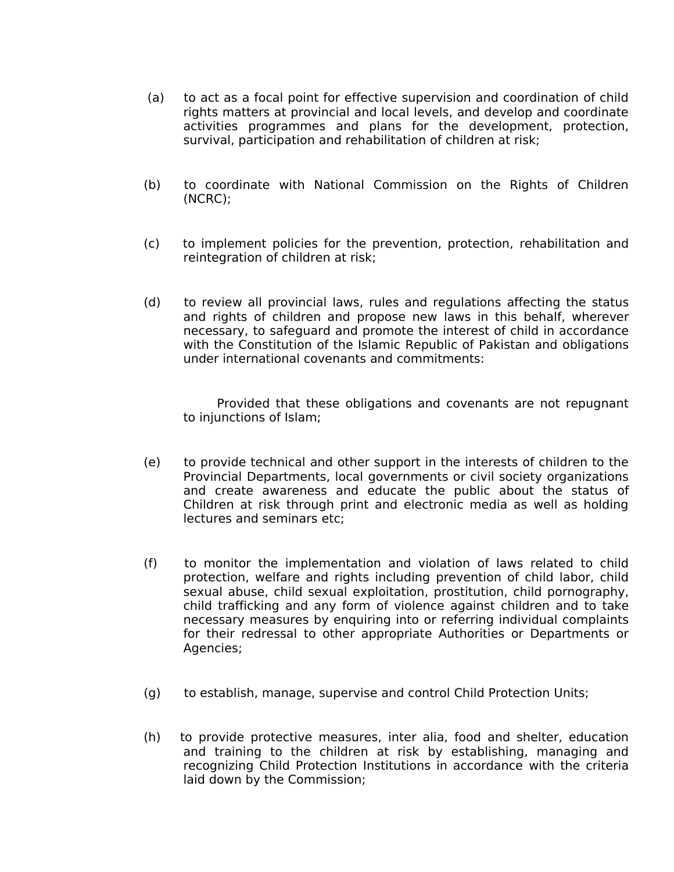- (a) to act as a focal point for effective supervision and coordination of child rights matters at provincial and local levels, and develop and coordinate activities programmes and plans for the development, protection, survival, participation and rehabilitation of children at risk;
- (b) to coordinate with National Commission on the Rights of Children (NCRC);
- (c) to implement policies for the prevention, protection, rehabilitation and reintegration of children at risk;
- (d) to review all provincial laws, rules and regulations affecting the status and rights of children and propose new laws in this behalf, wherever necessary, to safeguard and promote the interest of child in accordance with the Constitution of the Islamic Republic of Pakistan and obligations under international covenants and commitments:

Provided that these obligations and covenants are not repugnant to injunctions of Islam;

- (e) to provide technical and other support in the interests of children to the Provincial Departments, local governments or civil society organizations and create awareness and educate the public about the status of Children at risk through print and electronic media as well as holding lectures and seminars etc;
- (f) to monitor the implementation and violation of laws related to child protection, welfare and rights including prevention of child labor, child sexual abuse, child sexual exploitation, prostitution, child pornography, child trafficking and any form of violence against children and to take necessary measures by enquiring into or referring individual complaints for their redressal to other appropriate Authorities or Departments or Agencies;
- (g) to establish, manage, supervise and control Child Protection Units;
- (h) to provide protective measures, inter alia, food and shelter, education and training to the children at risk by establishing, managing and recognizing Child Protection Institutions in accordance with the criteria laid down by the Commission;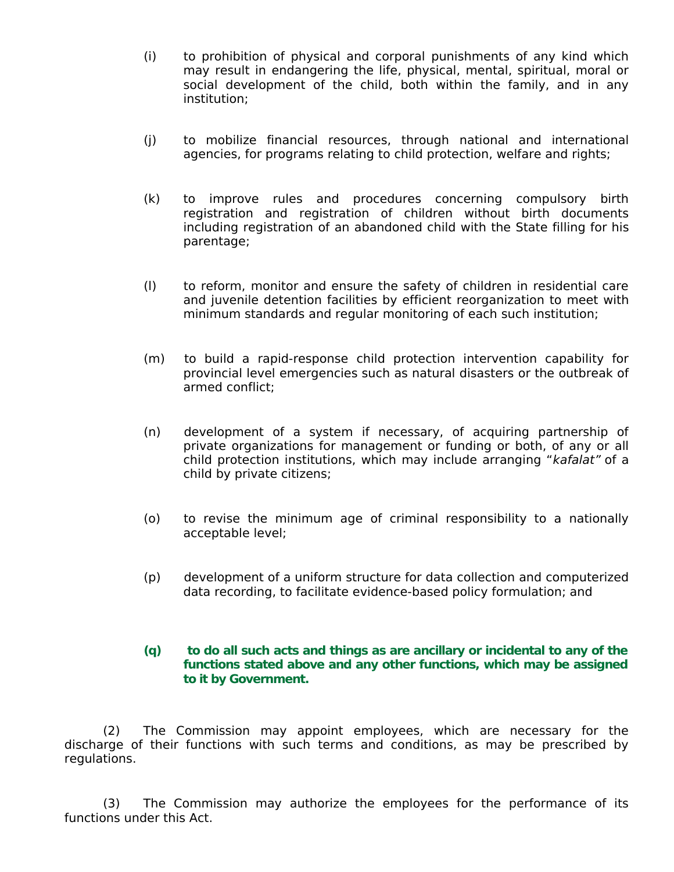- (i) to prohibition of physical and corporal punishments of any kind which may result in endangering the life, physical, mental, spiritual, moral or social development of the child, both within the family, and in any institution;
- (j) to mobilize financial resources, through national and international agencies, for programs relating to child protection, welfare and rights;
- (k) to improve rules and procedures concerning compulsory birth registration and registration of children without birth documents including registration of an abandoned child with the State filling for his parentage;
- (l) to reform, monitor and ensure the safety of children in residential care and juvenile detention facilities by efficient reorganization to meet with minimum standards and regular monitoring of each such institution;
- (m) to build a rapid-response child protection intervention capability for provincial level emergencies such as natural disasters or the outbreak of armed conflict;
- (n) development of a system if necessary, of acquiring partnership of private organizations for management or funding or both, of any or all child protection institutions, which may include arranging "kafalat" of a child by private citizens;
- (o) to revise the minimum age of criminal responsibility to a nationally acceptable level;
- (p) development of a uniform structure for data collection and computerized data recording, to facilitate evidence-based policy formulation; and

#### **(q) to do all such acts and things as are ancillary or incidental to any of the functions stated above and any other functions, which may be assigned to it by Government.**

(2) The Commission may appoint employees, which are necessary for the discharge of their functions with such terms and conditions, as may be prescribed by regulations.

(3) The Commission may authorize the employees for the performance of its functions under this Act.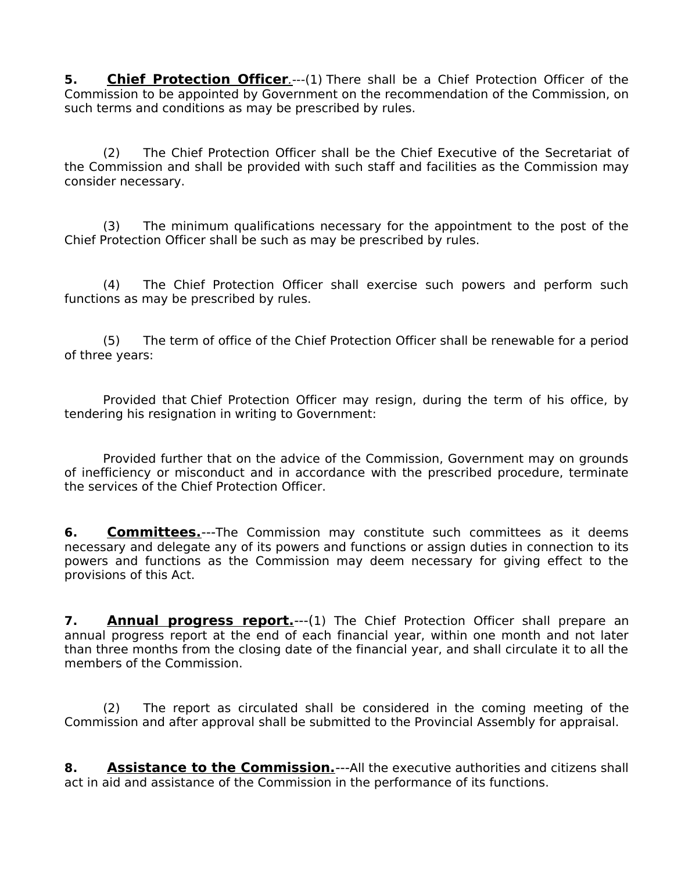**5.** Chief Protection Officer.---(1) There shall be a Chief Protection Officer of the Commission to be appointed by Government on the recommendation of the Commission, on such terms and conditions as may be prescribed by rules.

(2) The Chief Protection Officer shall be the Chief Executive of the Secretariat of the Commission and shall be provided with such staff and facilities as the Commission may consider necessary.

(3) The minimum qualifications necessary for the appointment to the post of the Chief Protection Officer shall be such as may be prescribed by rules.

(4) The Chief Protection Officer shall exercise such powers and perform such functions as may be prescribed by rules.

(5) The term of office of the Chief Protection Officer shall be renewable for a period of three years:

Provided that Chief Protection Officer may resign, during the term of his office, by tendering his resignation in writing to Government:

Provided further that on the advice of the Commission, Government may on grounds of inefficiency or misconduct and in accordance with the prescribed procedure, terminate the services of the Chief Protection Officer.

**6. Committees.**---The Commission may constitute such committees as it deems necessary and delegate any of its powers and functions or assign duties in connection to its powers and functions as the Commission may deem necessary for giving effect to the provisions of this Act.

**7. Annual progress report.**---(1) The Chief Protection Officer shall prepare an annual progress report at the end of each financial year, within one month and not later than three months from the closing date of the financial year, and shall circulate it to all the members of the Commission.

(2) The report as circulated shall be considered in the coming meeting of the Commission and after approval shall be submitted to the Provincial Assembly for appraisal.

**8. Assistance to the Commission.**---All the executive authorities and citizens shall act in aid and assistance of the Commission in the performance of its functions.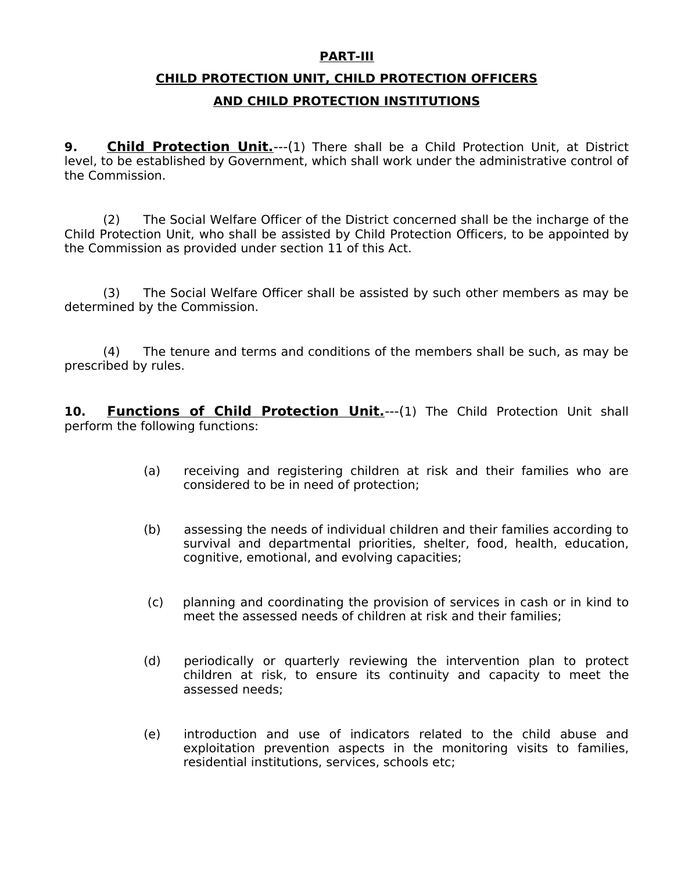#### **PART-III**

# **CHILD PROTECTION UNIT, CHILD PROTECTION OFFICERS AND CHILD PROTECTION INSTITUTIONS**

**9. Child Protection Unit.**---(1) There shall be a Child Protection Unit, at District level, to be established by Government, which shall work under the administrative control of the Commission.

(2) The Social Welfare Officer of the District concerned shall be the incharge of the Child Protection Unit, who shall be assisted by Child Protection Officers, to be appointed by the Commission as provided under section 11 of this Act.

(3) The Social Welfare Officer shall be assisted by such other members as may be determined by the Commission.

(4) The tenure and terms and conditions of the members shall be such, as may be prescribed by rules.

10. Functions of Child Protection Unit.--- (1) The Child Protection Unit shall perform the following functions:

- (a) receiving and registering children at risk and their families who are considered to be in need of protection;
- (b) assessing the needs of individual children and their families according to survival and departmental priorities, shelter, food, health, education, cognitive, emotional, and evolving capacities;
- (c) planning and coordinating the provision of services in cash or in kind to meet the assessed needs of children at risk and their families;
- (d) periodically or quarterly reviewing the intervention plan to protect children at risk, to ensure its continuity and capacity to meet the assessed needs;
- (e) introduction and use of indicators related to the child abuse and exploitation prevention aspects in the monitoring visits to families, residential institutions, services, schools etc;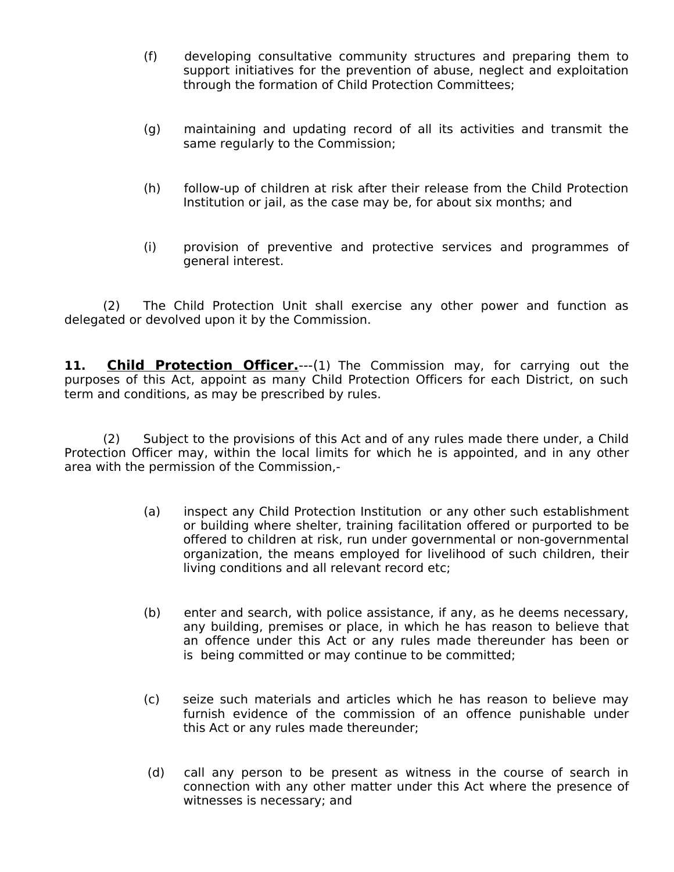- (f) developing consultative community structures and preparing them to support initiatives for the prevention of abuse, neglect and exploitation through the formation of Child Protection Committees;
- (g) maintaining and updating record of all its activities and transmit the same regularly to the Commission;
- (h) follow-up of children at risk after their release from the Child Protection Institution or jail, as the case may be, for about six months; and
- (i) provision of preventive and protective services and programmes of general interest.

(2) The Child Protection Unit shall exercise any other power and function as delegated or devolved upon it by the Commission.

11. **Child Protection Officer.**---(1) The Commission may, for carrying out the purposes of this Act, appoint as many Child Protection Officers for each District, on such term and conditions, as may be prescribed by rules.

(2) Subject to the provisions of this Act and of any rules made there under, a Child Protection Officer may, within the local limits for which he is appointed, and in any other area with the permission of the Commission,-

- (a) inspect any Child Protection Institution or any other such establishment or building where shelter, training facilitation offered or purported to be offered to children at risk, run under governmental or non-governmental organization, the means employed for livelihood of such children, their living conditions and all relevant record etc;
- (b) enter and search, with police assistance, if any, as he deems necessary, any building, premises or place, in which he has reason to believe that an offence under this Act or any rules made thereunder has been or is being committed or may continue to be committed;
- (c) seize such materials and articles which he has reason to believe may furnish evidence of the commission of an offence punishable under this Act or any rules made thereunder;
- (d) call any person to be present as witness in the course of search in connection with any other matter under this Act where the presence of witnesses is necessary; and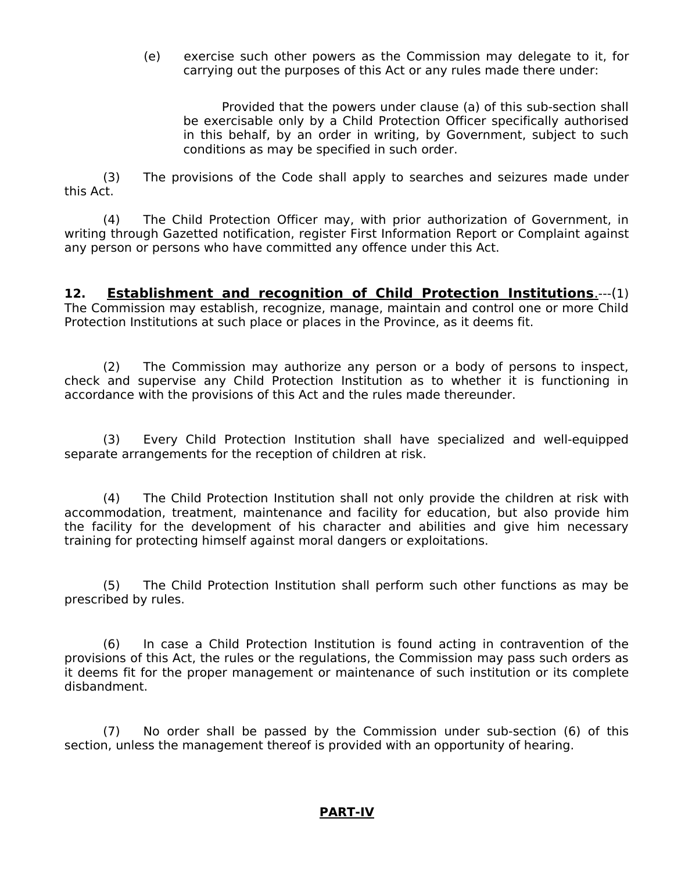(e) exercise such other powers as the Commission may delegate to it, for carrying out the purposes of this Act or any rules made there under:

Provided that the powers under clause (a) of this sub-section shall be exercisable only by a Child Protection Officer specifically authorised in this behalf, by an order in writing, by Government, subject to such conditions as may be specified in such order.

(3) The provisions of the Code shall apply to searches and seizures made under this Act.

(4) The Child Protection Officer may, with prior authorization of Government, in writing through Gazetted notification, register First Information Report or Complaint against any person or persons who have committed any offence under this Act.

**12. Establishment and recognition of Child Protection Institutions**.---(1) The Commission may establish, recognize, manage, maintain and control one or more Child Protection Institutions at such place or places in the Province, as it deems fit.

(2) The Commission may authorize any person or a body of persons to inspect, check and supervise any Child Protection Institution as to whether it is functioning in accordance with the provisions of this Act and the rules made thereunder.

(3) Every Child Protection Institution shall have specialized and well-equipped separate arrangements for the reception of children at risk.

(4) The Child Protection Institution shall not only provide the children at risk with accommodation, treatment, maintenance and facility for education, but also provide him the facility for the development of his character and abilities and give him necessary training for protecting himself against moral dangers or exploitations.

(5) The Child Protection Institution shall perform such other functions as may be prescribed by rules.

(6) In case a Child Protection Institution is found acting in contravention of the provisions of this Act, the rules or the regulations, the Commission may pass such orders as it deems fit for the proper management or maintenance of such institution or its complete disbandment.

(7) No order shall be passed by the Commission under sub-section (6) of this section, unless the management thereof is provided with an opportunity of hearing.

#### **PART-IV**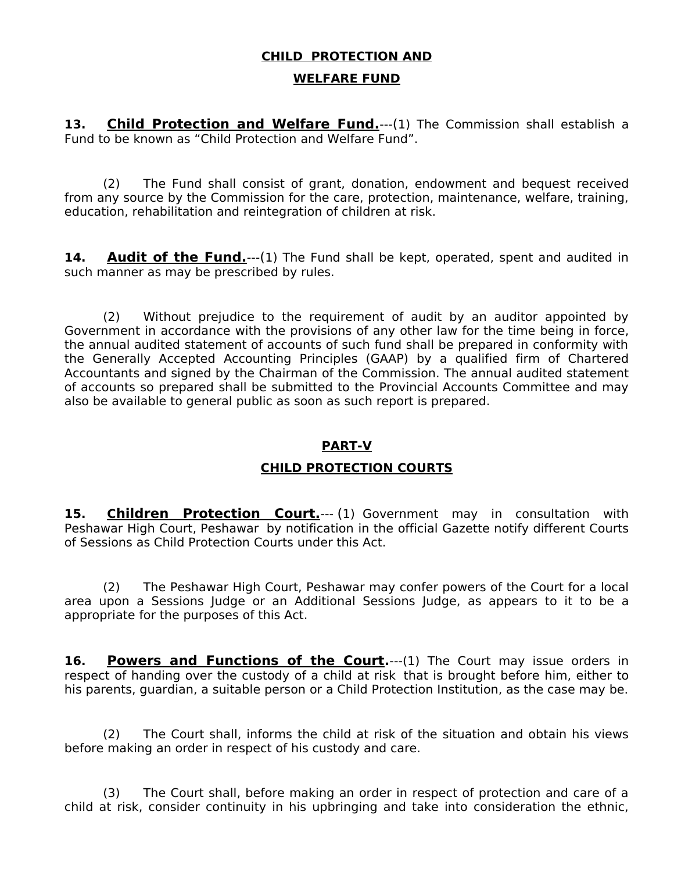# **CHILD PROTECTION AND**

#### **WELFARE FUND**

**13. Child Protection and Welfare Fund.**---(1) The Commission shall establish a Fund to be known as "Child Protection and Welfare Fund".

(2) The Fund shall consist of grant, donation, endowment and bequest received from any source by the Commission for the care, protection, maintenance, welfare, training, education, rehabilitation and reintegration of children at risk.

**14. Audit of the Fund.**---(1) The Fund shall be kept, operated, spent and audited in such manner as may be prescribed by rules.

(2) Without prejudice to the requirement of audit by an auditor appointed by Government in accordance with the provisions of any other law for the time being in force, the annual audited statement of accounts of such fund shall be prepared in conformity with the Generally Accepted Accounting Principles (GAAP) by a qualified firm of Chartered Accountants and signed by the Chairman of the Commission. The annual audited statement of accounts so prepared shall be submitted to the Provincial Accounts Committee and may also be available to general public as soon as such report is prepared.

### **PART-V**

### **CHILD PROTECTION COURTS**

**15. Children Protection Court.**--- (1) Government may in consultation with Peshawar High Court, Peshawar by notification in the official Gazette notify different Courts of Sessions as Child Protection Courts under this Act.

(2) The Peshawar High Court, Peshawar may confer powers of the Court for a local area upon a Sessions Judge or an Additional Sessions Judge, as appears to it to be a appropriate for the purposes of this Act.

16. **Powers and Functions of the Court.**---(1) The Court may issue orders in respect of handing over the custody of a child at risk that is brought before him, either to his parents, guardian, a suitable person or a Child Protection Institution, as the case may be.

(2) The Court shall, informs the child at risk of the situation and obtain his views before making an order in respect of his custody and care.

(3) The Court shall, before making an order in respect of protection and care of a child at risk, consider continuity in his upbringing and take into consideration the ethnic,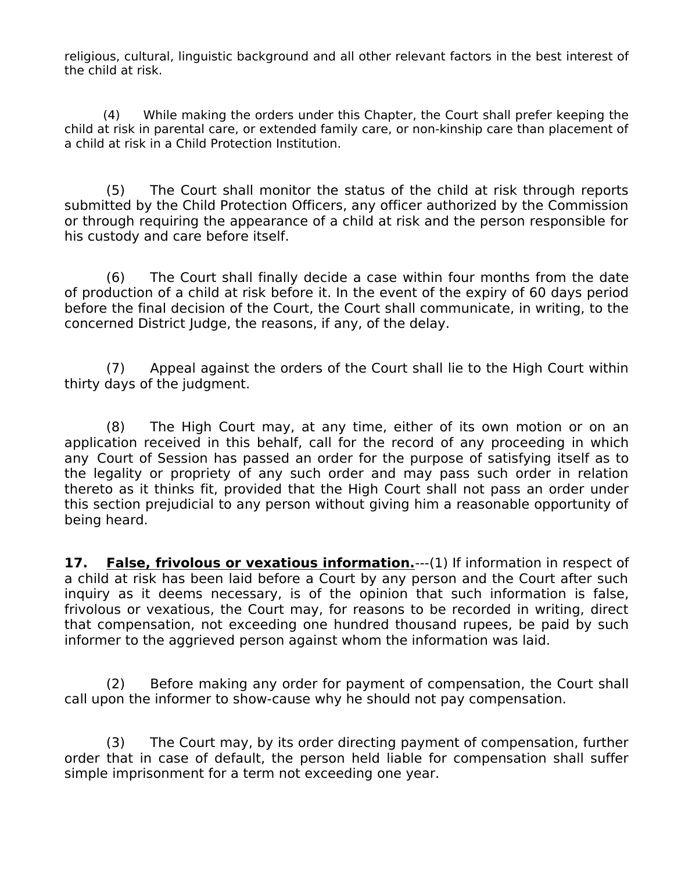religious, cultural, linguistic background and all other relevant factors in the best interest of the child at risk.

(4) While making the orders under this Chapter, the Court shall prefer keeping the child at risk in parental care, or extended family care, or non-kinship care than placement of a child at risk in a Child Protection Institution.

(5) The Court shall monitor the status of the child at risk through reports submitted by the Child Protection Officers, any officer authorized by the Commission or through requiring the appearance of a child at risk and the person responsible for his custody and care before itself.

(6) The Court shall finally decide a case within four months from the date of production of a child at risk before it. In the event of the expiry of 60 days period before the final decision of the Court, the Court shall communicate, in writing, to the concerned District Judge, the reasons, if any, of the delay.

(7) Appeal against the orders of the Court shall lie to the High Court within thirty days of the judgment.

(8) The High Court may, at any time, either of its own motion or on an application received in this behalf, call for the record of any proceeding in which any Court of Session has passed an order for the purpose of satisfying itself as to the legality or propriety of any such order and may pass such order in relation thereto as it thinks fit, provided that the High Court shall not pass an order under this section prejudicial to any person without giving him a reasonable opportunity of being heard.

**17. False, frivolous or vexatious information.**---(1) If information in respect of a child at risk has been laid before a Court by any person and the Court after such inquiry as it deems necessary, is of the opinion that such information is false, frivolous or vexatious, the Court may, for reasons to be recorded in writing, direct that compensation, not exceeding one hundred thousand rupees, be paid by such informer to the aggrieved person against whom the information was laid.

(2) Before making any order for payment of compensation, the Court shall call upon the informer to show-cause why he should not pay compensation.

(3) The Court may, by its order directing payment of compensation, further order that in case of default, the person held liable for compensation shall suffer simple imprisonment for a term not exceeding one year.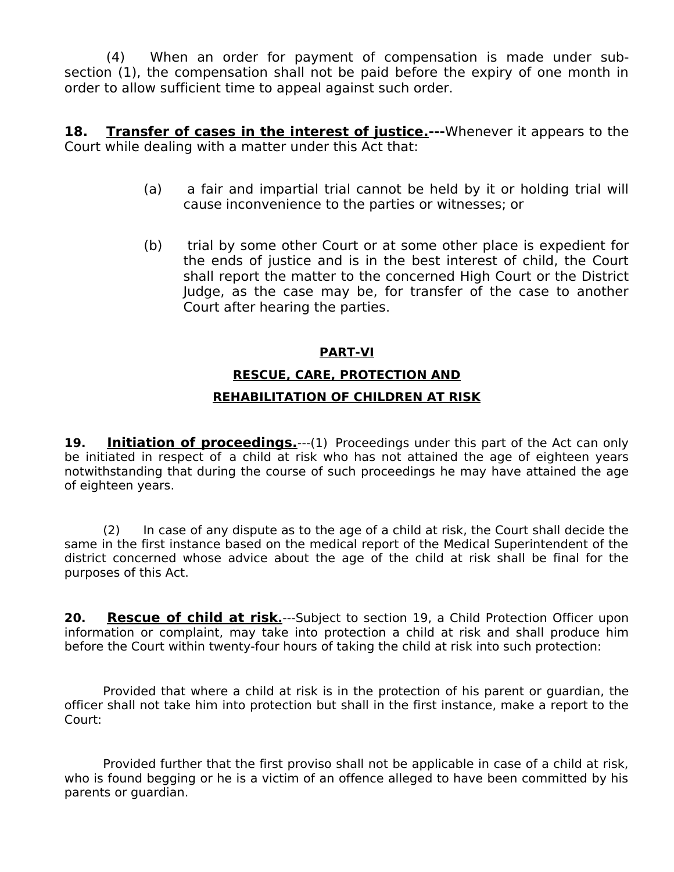(4) When an order for payment of compensation is made under subsection (1), the compensation shall not be paid before the expiry of one month in order to allow sufficient time to appeal against such order.

**18.** Transfer of cases in the interest of justice.---Whenever it appears to the Court while dealing with a matter under this Act that:

- (a) a fair and impartial trial cannot be held by it or holding trial will cause inconvenience to the parties or witnesses; or
- (b) trial by some other Court or at some other place is expedient for the ends of justice and is in the best interest of child, the Court shall report the matter to the concerned High Court or the District Judge, as the case may be, for transfer of the case to another Court after hearing the parties.

#### **PART-VI**

# **RESCUE, CARE, PROTECTION AND REHABILITATION OF CHILDREN AT RISK**

**19. Initiation of proceedings.**---(1) Proceedings under this part of the Act can only be initiated in respect of a child at risk who has not attained the age of eighteen years notwithstanding that during the course of such proceedings he may have attained the age of eighteen years.

(2) In case of any dispute as to the age of a child at risk, the Court shall decide the same in the first instance based on the medical report of the Medical Superintendent of the district concerned whose advice about the age of the child at risk shall be final for the purposes of this Act.

**20.** Rescue of child at risk<sub>1</sub>—-Subject to section 19, a Child Protection Officer upon information or complaint, may take into protection a child at risk and shall produce him before the Court within twenty-four hours of taking the child at risk into such protection:

Provided that where a child at risk is in the protection of his parent or guardian, the officer shall not take him into protection but shall in the first instance, make a report to the Court:

Provided further that the first proviso shall not be applicable in case of a child at risk, who is found begging or he is a victim of an offence alleged to have been committed by his parents or guardian.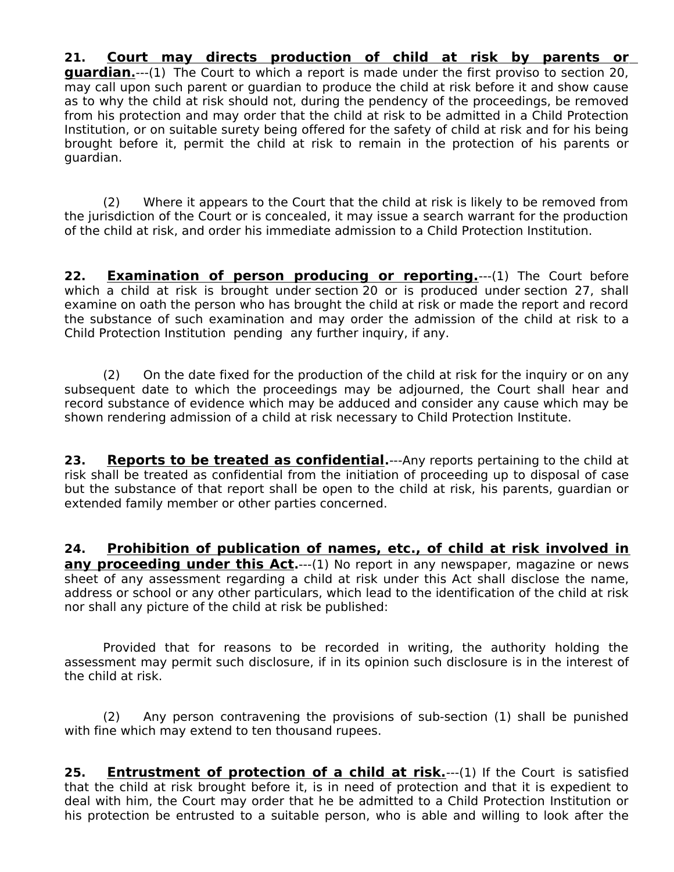**21. Court may directs production of child at risk by parents or guardian**<sub>1</sub>---(1) The Court to which a report is made under the first proviso to section 20, may call upon such parent or guardian to produce the child at risk before it and show cause as to why the child at risk should not, during the pendency of the proceedings, be removed from his protection and may order that the child at risk to be admitted in a Child Protection Institution, or on suitable surety being offered for the safety of child at risk and for his being brought before it, permit the child at risk to remain in the protection of his parents or guardian.

(2) Where it appears to the Court that the child at risk is likely to be removed from the jurisdiction of the Court or is concealed, it may issue a search warrant for the production of the child at risk, and order his immediate admission to a Child Protection Institution.

**22. Examination of person producing or reporting.**---(1) The Court before which a child at risk is brought under section 20 or is produced under section 27, shall examine on oath the person who has brought the child at risk or made the report and record the substance of such examination and may order the admission of the child at risk to a Child Protection Institution pending any further inquiry, if any.

(2) On the date fixed for the production of the child at risk for the inquiry or on any subsequent date to which the proceedings may be adjourned, the Court shall hear and record substance of evidence which may be adduced and consider any cause which may be shown rendering admission of a child at risk necessary to Child Protection Institute.

**23. Reports to be treated as confidential.**---Any reports pertaining to the child at risk shall be treated as confidential from the initiation of proceeding up to disposal of case but the substance of that report shall be open to the child at risk, his parents, guardian or extended family member or other parties concerned.

**24. Prohibition of publication of names, etc., of child at risk involved in any proceeding under this Act.**---(1) No report in any newspaper, magazine or news sheet of any assessment regarding a child at risk under this Act shall disclose the name, address or school or any other particulars, which lead to the identification of the child at risk nor shall any picture of the child at risk be published:

Provided that for reasons to be recorded in writing, the authority holding the assessment may permit such disclosure, if in its opinion such disclosure is in the interest of the child at risk.

(2) Any person contravening the provisions of sub-section (1) shall be punished with fine which may extend to ten thousand rupees.

25. **Entrustment of protection of a child at risk.**---(1) If the Court is satisfied that the child at risk brought before it, is in need of protection and that it is expedient to deal with him, the Court may order that he be admitted to a Child Protection Institution or his protection be entrusted to a suitable person, who is able and willing to look after the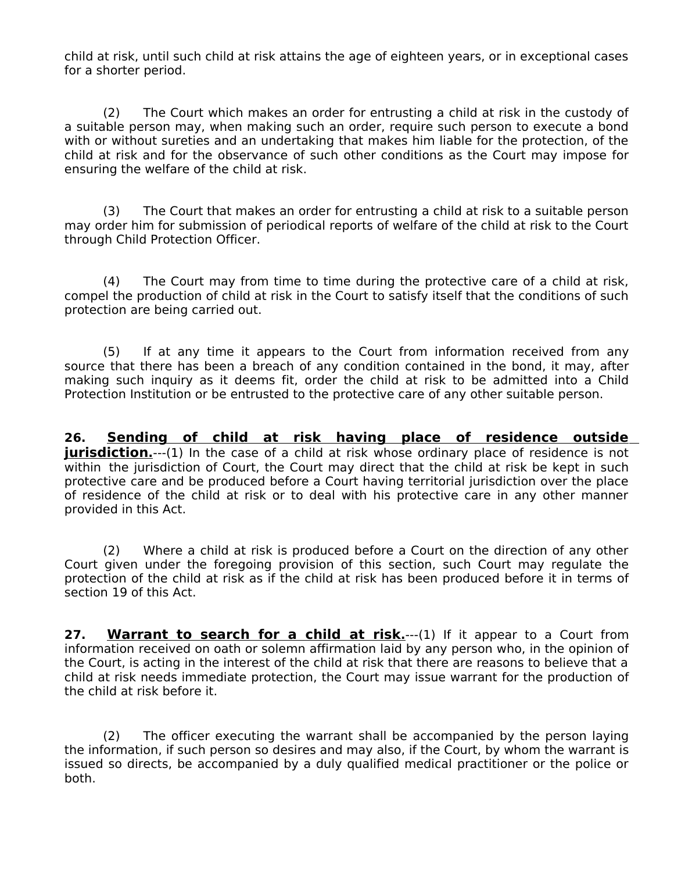child at risk, until such child at risk attains the age of eighteen years, or in exceptional cases for a shorter period.

(2) The Court which makes an order for entrusting a child at risk in the custody of a suitable person may, when making such an order, require such person to execute a bond with or without sureties and an undertaking that makes him liable for the protection, of the child at risk and for the observance of such other conditions as the Court may impose for ensuring the welfare of the child at risk.

(3) The Court that makes an order for entrusting a child at risk to a suitable person may order him for submission of periodical reports of welfare of the child at risk to the Court through Child Protection Officer.

(4) The Court may from time to time during the protective care of a child at risk, compel the production of child at risk in the Court to satisfy itself that the conditions of such protection are being carried out.

(5) If at any time it appears to the Court from information received from any source that there has been a breach of any condition contained in the bond, it may, after making such inquiry as it deems fit, order the child at risk to be admitted into a Child Protection Institution or be entrusted to the protective care of any other suitable person.

**26. Sending of child at risk having place of residence outside jurisdiction**.---(1) In the case of a child at risk whose ordinary place of residence is not within the jurisdiction of Court, the Court may direct that the child at risk be kept in such protective care and be produced before a Court having territorial jurisdiction over the place of residence of the child at risk or to deal with his protective care in any other manner provided in this Act.

(2) Where a child at risk is produced before a Court on the direction of any other Court given under the foregoing provision of this section, such Court may regulate the protection of the child at risk as if the child at risk has been produced before it in terms of section 19 of this Act.

**27.** Warrant to search for a child at risk.---(1) If it appear to a Court from information received on oath or solemn affirmation laid by any person who, in the opinion of the Court, is acting in the interest of the child at risk that there are reasons to believe that a child at risk needs immediate protection, the Court may issue warrant for the production of the child at risk before it.

(2) The officer executing the warrant shall be accompanied by the person laying the information, if such person so desires and may also, if the Court, by whom the warrant is issued so directs, be accompanied by a duly qualified medical practitioner or the police or both.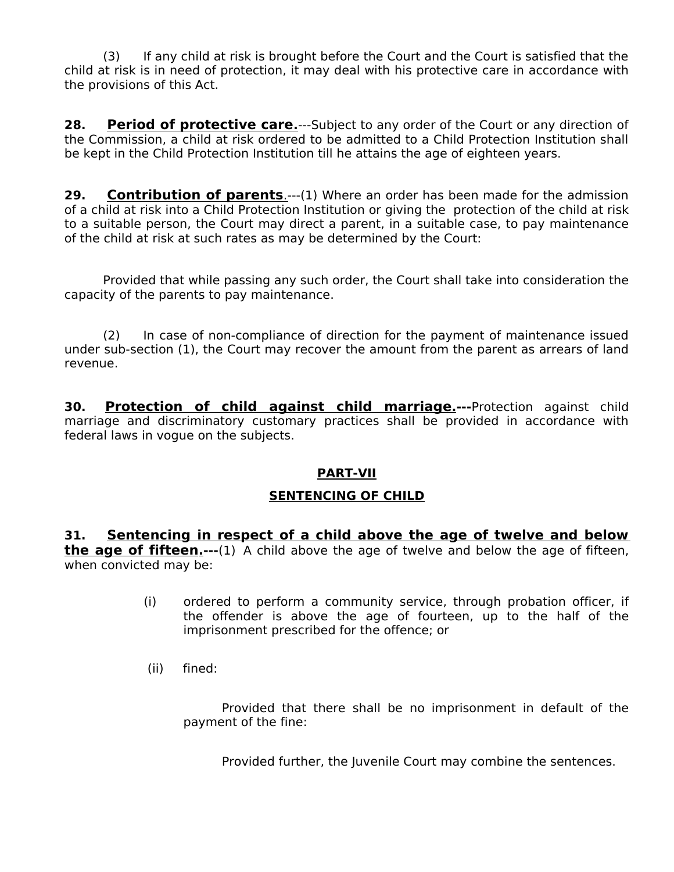(3) If any child at risk is brought before the Court and the Court is satisfied that the child at risk is in need of protection, it may deal with his protective care in accordance with the provisions of this Act.

**28. Period of protective care.**---Subject to any order of the Court or any direction of the Commission, a child at risk ordered to be admitted to a Child Protection Institution shall be kept in the Child Protection Institution till he attains the age of eighteen years.

**29.** Contribution of parents.---(1) Where an order has been made for the admission of a child at risk into a Child Protection Institution or giving the protection of the child at risk to a suitable person, the Court may direct a parent, in a suitable case, to pay maintenance of the child at risk at such rates as may be determined by the Court:

Provided that while passing any such order, the Court shall take into consideration the capacity of the parents to pay maintenance.

(2) In case of non-compliance of direction for the payment of maintenance issued under sub-section (1), the Court may recover the amount from the parent as arrears of land revenue.

**30. Protection of child against child marriage.---**Protection against child marriage and discriminatory customary practices shall be provided in accordance with federal laws in vogue on the subjects.

#### **PART-VII**

#### **SENTENCING OF CHILD**

**31. Sentencing in respect of a child above the age of twelve and below the age of fifteen**<sub>.</sub>---(1) A child above the age of twelve and below the age of fifteen, when convicted may be:

- (i) ordered to perform a community service, through probation officer, if the offender is above the age of fourteen, up to the half of the imprisonment prescribed for the offence; or
- (ii) fined:

Provided that there shall be no imprisonment in default of the payment of the fine:

Provided further, the Juvenile Court may combine the sentences.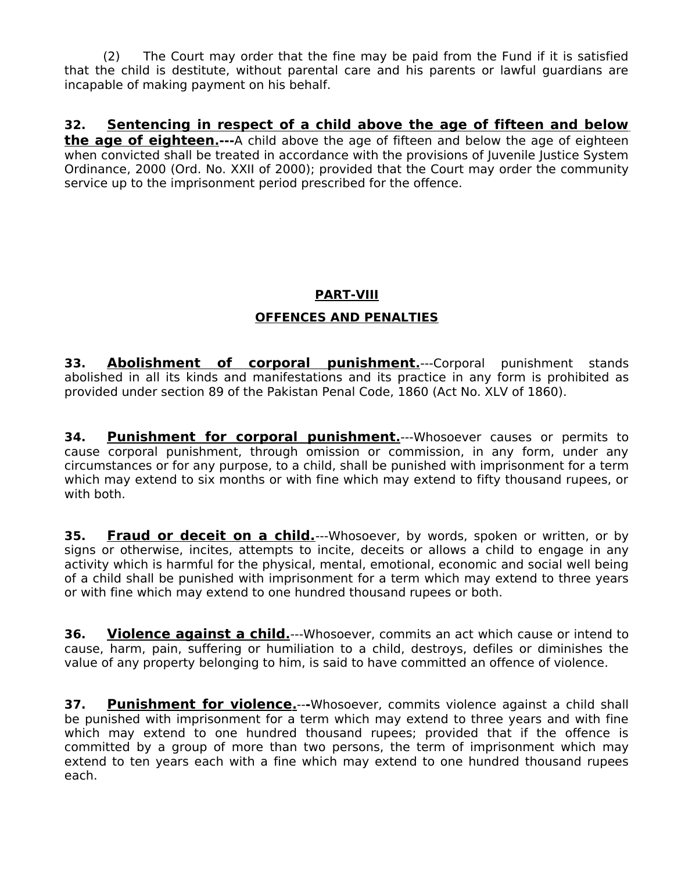(2) The Court may order that the fine may be paid from the Fund if it is satisfied that the child is destitute, without parental care and his parents or lawful guardians are incapable of making payment on his behalf.

## **32. Sentencing in respect of a child above the age of fifteen and below**

 **the age of eighteen.---**A child above the age of fifteen and below the age of eighteen when convicted shall be treated in accordance with the provisions of Juvenile Justice System Ordinance, 2000 (Ord. No. XXII of 2000); provided that the Court may order the community service up to the imprisonment period prescribed for the offence.

## **PART-VIII**

### **OFFENCES AND PENALTIES**

**33. Abolishment of corporal punishment.**---Corporal punishment stands abolished in all its kinds and manifestations and its practice in any form is prohibited as provided under section 89 of the Pakistan Penal Code, 1860 (Act No. XLV of 1860).

**34. Punishment for corporal punishment.**---Whosoever causes or permits to cause corporal punishment, through omission or commission, in any form, under any circumstances or for any purpose, to a child, shall be punished with imprisonment for a term which may extend to six months or with fine which may extend to fifty thousand rupees, or with both.

**35. Fraud or deceit on a child.**---Whosoever, by words, spoken or written, or by signs or otherwise, incites, attempts to incite, deceits or allows a child to engage in any activity which is harmful for the physical, mental, emotional, economic and social well being of a child shall be punished with imprisonment for a term which may extend to three years or with fine which may extend to one hundred thousand rupees or both.

**36.** Violence against a child.---Whosoever, commits an act which cause or intend to cause, harm, pain, suffering or humiliation to a child, destroys, defiles or diminishes the value of any property belonging to him, is said to have committed an offence of violence.

**37.** Punishment for violence.---Whosoever, commits violence against a child shall be punished with imprisonment for a term which may extend to three years and with fine which may extend to one hundred thousand rupees; provided that if the offence is committed by a group of more than two persons, the term of imprisonment which may extend to ten years each with a fine which may extend to one hundred thousand rupees each.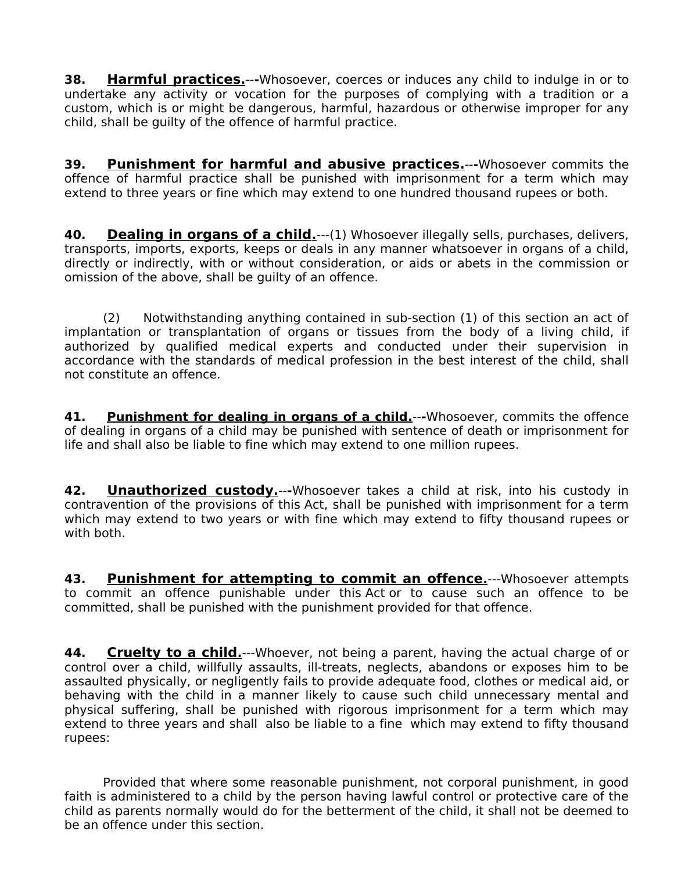**38. Harmful practices.**--**-**Whosoever, coerces or induces any child to indulge in or to undertake any activity or vocation for the purposes of complying with a tradition or a custom, which is or might be dangerous, harmful, hazardous or otherwise improper for any child, shall be guilty of the offence of harmful practice.

**39. Punishment for harmful and abusive practices.**--**-**Whosoever commits the offence of harmful practice shall be punished with imprisonment for a term which may extend to three years or fine which may extend to one hundred thousand rupees or both.

**40. Dealing in organs of a child.**——(1) Whosoever illegally sells, purchases, delivers, transports, imports, exports, keeps or deals in any manner whatsoever in organs of a child, directly or indirectly, with or without consideration, or aids or abets in the commission or omission of the above, shall be guilty of an offence.

(2) Notwithstanding anything contained in sub-section (1) of this section an act of implantation or transplantation of organs or tissues from the body of a living child, if authorized by qualified medical experts and conducted under their supervision in accordance with the standards of medical profession in the best interest of the child, shall not constitute an offence.

**41.** Punishment for dealing in organs of a child.---Whosoever, commits the offence of dealing in organs of a child may be punished with sentence of death or imprisonment for life and shall also be liable to fine which may extend to one million rupees.

**42. Unauthorized custody.**--**-**Whosoever takes a child at risk, into his custody in contravention of the provisions of this Act, shall be punished with imprisonment for a term which may extend to two years or with fine which may extend to fifty thousand rupees or with both.

**43. Punishment for attempting to commit an offence.**---Whosoever attempts to commit an offence punishable under this Act or to cause such an offence to be committed, shall be punished with the punishment provided for that offence.

**44. Cruelty to a child.**---Whoever, not being a parent, having the actual charge of or control over a child, willfully assaults, ill-treats, neglects, abandons or exposes him to be assaulted physically, or negligently fails to provide adequate food, clothes or medical aid, or behaving with the child in a manner likely to cause such child unnecessary mental and physical suffering, shall be punished with rigorous imprisonment for a term which may extend to three years and shall also be liable to a fine which may extend to fifty thousand rupees:

Provided that where some reasonable punishment, not corporal punishment, in good faith is administered to a child by the person having lawful control or protective care of the child as parents normally would do for the betterment of the child, it shall not be deemed to be an offence under this section.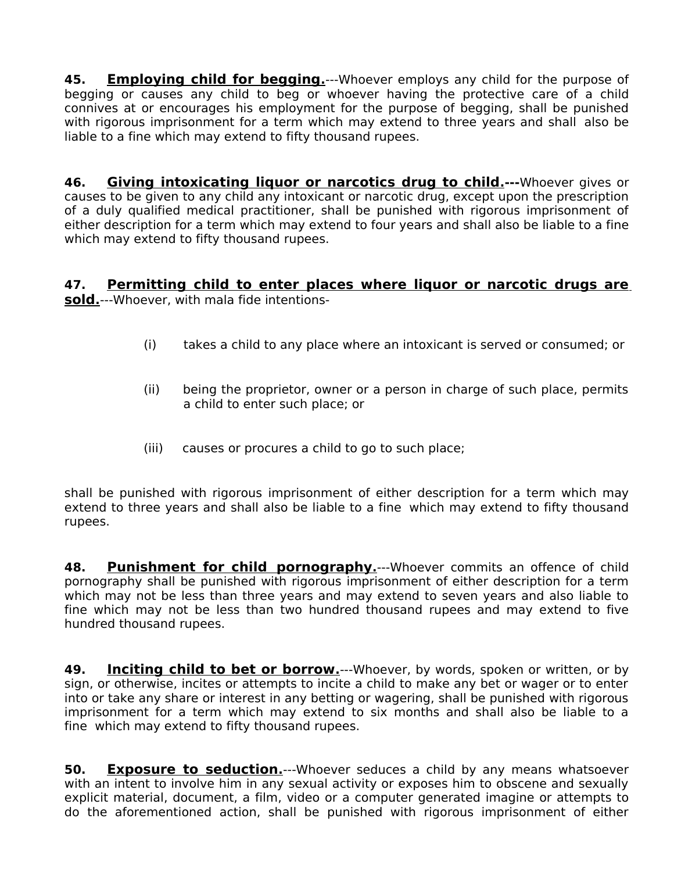**45. Employing child for begging.**---Whoever employs any child for the purpose of begging or causes any child to beg or whoever having the protective care of a child connives at or encourages his employment for the purpose of begging, shall be punished with rigorous imprisonment for a term which may extend to three years and shall also be liable to a fine which may extend to fifty thousand rupees.

**46. Giving intoxicating liquor or narcotics drug to child.---**Whoever gives or causes to be given to any child any intoxicant or narcotic drug, except upon the prescription of a duly qualified medical practitioner, shall be punished with rigorous imprisonment of either description for a term which may extend to four years and shall also be liable to a fine which may extend to fifty thousand rupees.

#### **47. Permitting child to enter places where liquor or narcotic drugs are sold .**---Whoever, with mala fide intentions-

- (i) takes a child to any place where an intoxicant is served or consumed; or
- (ii) being the proprietor, owner or a person in charge of such place, permits a child to enter such place; or
- (iii) causes or procures a child to go to such place;

shall be punished with rigorous imprisonment of either description for a term which may extend to three years and shall also be liable to a fine which may extend to fifty thousand rupees.

**48. Punishment for child pornography.**---Whoever commits an offence of child pornography shall be punished with rigorous imprisonment of either description for a term which may not be less than three years and may extend to seven years and also liable to fine which may not be less than two hundred thousand rupees and may extend to five hundred thousand rupees.

**49. Inciting child to bet or borrow.**---Whoever, by words, spoken or written, or by sign, or otherwise, incites or attempts to incite a child to make any bet or wager or to enter into or take any share or interest in any betting or wagering, shall be punished with rigorous imprisonment for a term which may extend to six months and shall also be liable to a fine which may extend to fifty thousand rupees.

**50. Exposure to seduction.**---Whoever seduces a child by any means whatsoever with an intent to involve him in any sexual activity or exposes him to obscene and sexually explicit material, document, a film, video or a computer generated imagine or attempts to do the aforementioned action, shall be punished with rigorous imprisonment of either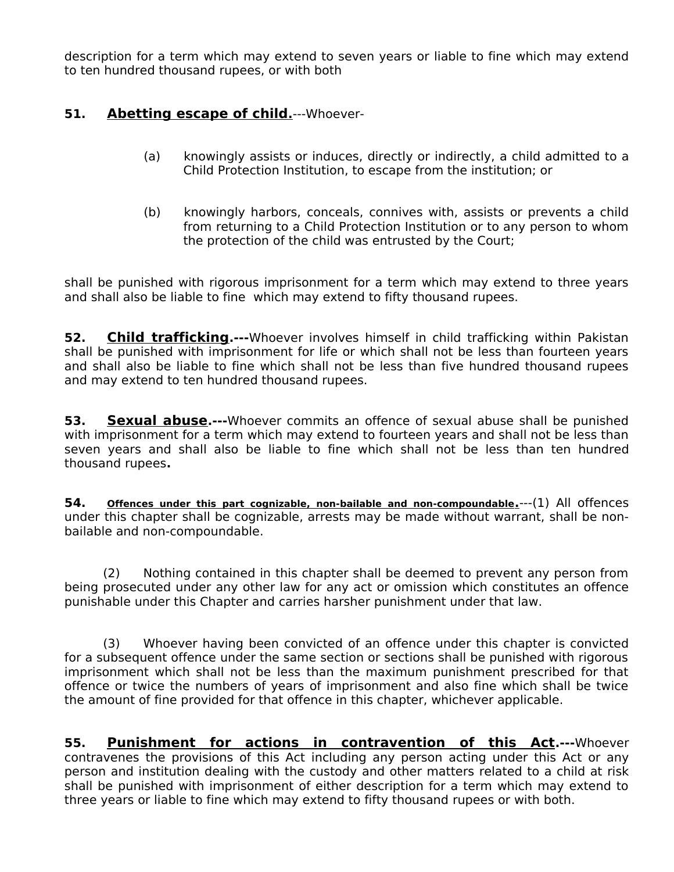description for a term which may extend to seven years or liable to fine which may extend to ten hundred thousand rupees, or with both

## **51. Abetting escape of child.**---Whoever-

- (a) knowingly assists or induces, directly or indirectly, a child admitted to a Child Protection Institution, to escape from the institution; or
- (b) knowingly harbors, conceals, connives with, assists or prevents a child from returning to a Child Protection Institution or to any person to whom the protection of the child was entrusted by the Court;

shall be punished with rigorous imprisonment for a term which may extend to three years and shall also be liable to fine which may extend to fifty thousand rupees.

**52. Child trafficking.---**Whoever involves himself in child trafficking within Pakistan shall be punished with imprisonment for life or which shall not be less than fourteen years and shall also be liable to fine which shall not be less than five hundred thousand rupees and may extend to ten hundred thousand rupees.

**53. Sexual abuse.---**Whoever commits an offence of sexual abuse shall be punished with imprisonment for a term which may extend to fourteen years and shall not be less than seven years and shall also be liable to fine which shall not be less than ten hundred thousand rupees**.**

**54. Offences under this part cognizable, non-bailable and non-compoundable .**---(1) All offences under this chapter shall be cognizable, arrests may be made without warrant, shall be nonbailable and non-compoundable.

(2) Nothing contained in this chapter shall be deemed to prevent any person from being prosecuted under any other law for any act or omission which constitutes an offence punishable under this Chapter and carries harsher punishment under that law.

(3) Whoever having been convicted of an offence under this chapter is convicted for a subsequent offence under the same section or sections shall be punished with rigorous imprisonment which shall not be less than the maximum punishment prescribed for that offence or twice the numbers of years of imprisonment and also fine which shall be twice the amount of fine provided for that offence in this chapter, whichever applicable.

**55. Punishment for actions in contravention of this Act.---**Whoever contravenes the provisions of this Act including any person acting under this Act or any person and institution dealing with the custody and other matters related to a child at risk shall be punished with imprisonment of either description for a term which may extend to three years or liable to fine which may extend to fifty thousand rupees or with both.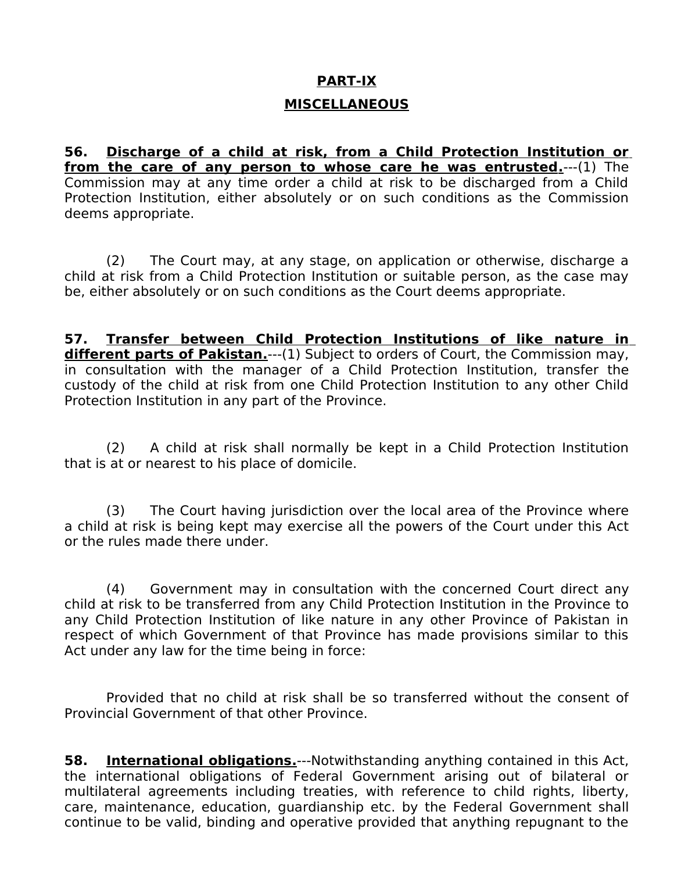# **PART-IX**

## **MISCELLANEOUS**

**56. Discharge of a child at risk, from a Child Protection Institution or from the care of any person to whose care he was entrusted.**---(1) The Commission may at any time order a child at risk to be discharged from a Child Protection Institution, either absolutely or on such conditions as the Commission deems appropriate.

(2) The Court may, at any stage, on application or otherwise, discharge a child at risk from a Child Protection Institution or suitable person, as the case may be, either absolutely or on such conditions as the Court deems appropriate.

**57. Transfer between Child Protection Institutions of like nature in different parts of Pakistan.**---(1) Subject to orders of Court, the Commission may, in consultation with the manager of a Child Protection Institution, transfer the custody of the child at risk from one Child Protection Institution to any other Child Protection Institution in any part of the Province.

(2) A child at risk shall normally be kept in a Child Protection Institution that is at or nearest to his place of domicile.

(3) The Court having jurisdiction over the local area of the Province where a child at risk is being kept may exercise all the powers of the Court under this Act or the rules made there under.

(4) Government may in consultation with the concerned Court direct any child at risk to be transferred from any Child Protection Institution in the Province to any Child Protection Institution of like nature in any other Province of Pakistan in respect of which Government of that Province has made provisions similar to this Act under any law for the time being in force:

Provided that no child at risk shall be so transferred without the consent of Provincial Government of that other Province.

**58.** International obligations.---Notwithstanding anything contained in this Act, the international obligations of Federal Government arising out of bilateral or multilateral agreements including treaties, with reference to child rights, liberty, care, maintenance, education, guardianship etc. by the Federal Government shall continue to be valid, binding and operative provided that anything repugnant to the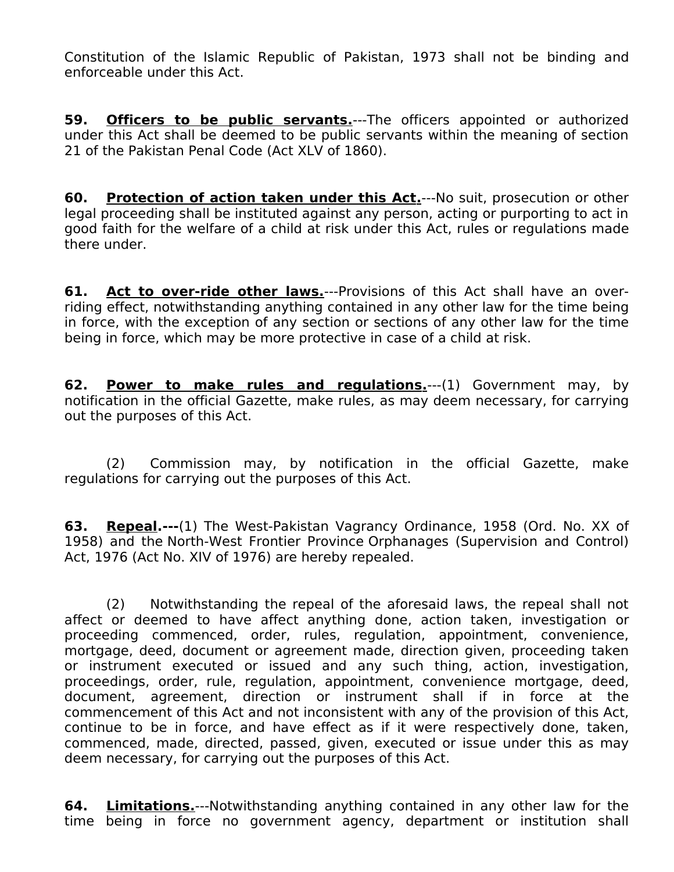Constitution of the Islamic Republic of Pakistan, 1973 shall not be binding and enforceable under this Act.

**59. Officers to be public servants.**---The officers appointed or authorized under this Act shall be deemed to be public servants within the meaning of section 21 of the Pakistan Penal Code (Act XLV of 1860).

**60.** Protection of action taken under this Act.---No suit, prosecution or other legal proceeding shall be instituted against any person, acting or purporting to act in good faith for the welfare of a child at risk under this Act, rules or regulations made there under.

**61. Act to over-ride other laws.**---Provisions of this Act shall have an overriding effect, notwithstanding anything contained in any other law for the time being in force, with the exception of any section or sections of any other law for the time being in force, which may be more protective in case of a child at risk.

**62. Power to make rules and regulations.**---(1) Government may, by notification in the official Gazette, make rules, as may deem necessary, for carrying out the purposes of this Act.

(2) Commission may, by notification in the official Gazette, make regulations for carrying out the purposes of this Act.

**63. Repeal.---**(1) The West-Pakistan Vagrancy Ordinance, 1958 (Ord. No. XX of 1958) and the North-West Frontier Province Orphanages (Supervision and Control) Act, 1976 (Act No. XIV of 1976) are hereby repealed.

(2) Notwithstanding the repeal of the aforesaid laws, the repeal shall not affect or deemed to have affect anything done, action taken, investigation or proceeding commenced, order, rules, regulation, appointment, convenience, mortgage, deed, document or agreement made, direction given, proceeding taken or instrument executed or issued and any such thing, action, investigation, proceedings, order, rule, regulation, appointment, convenience mortgage, deed, document, agreement, direction or instrument shall if in force at the commencement of this Act and not inconsistent with any of the provision of this Act, continue to be in force, and have effect as if it were respectively done, taken, commenced, made, directed, passed, given, executed or issue under this as may deem necessary, for carrying out the purposes of this Act.

**64. Limitations.**---Notwithstanding anything contained in any other law for the time being in force no government agency, department or institution shall